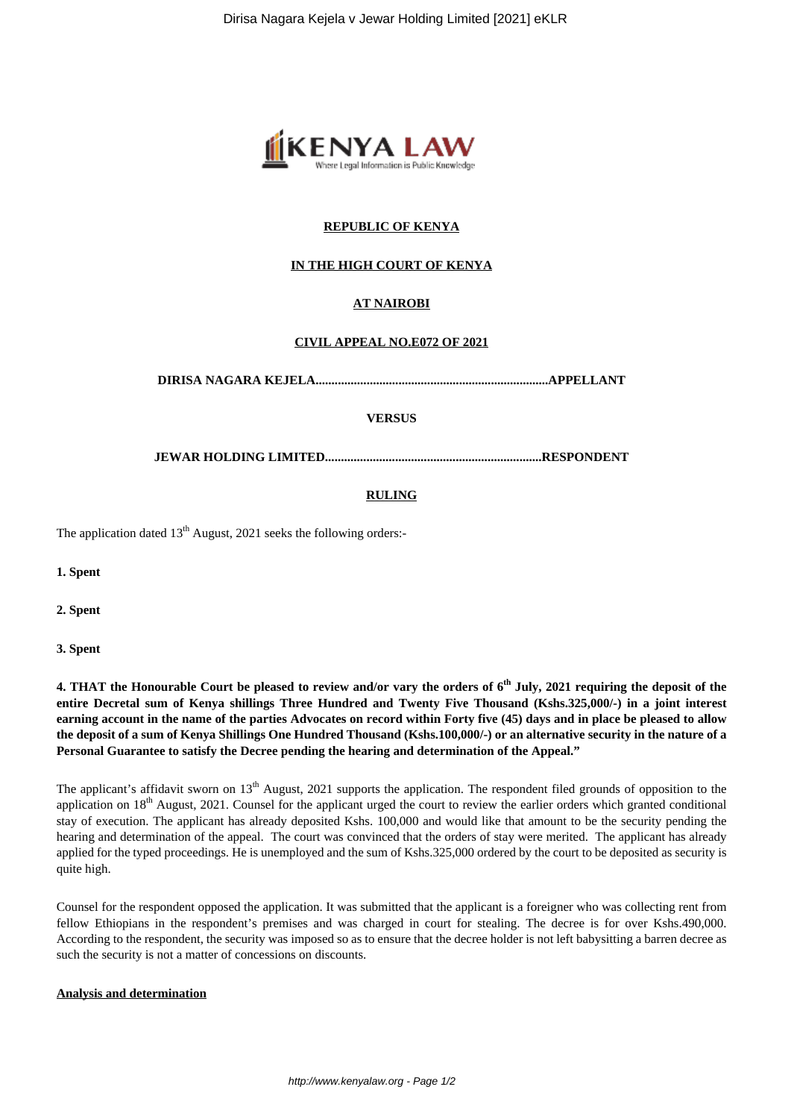

# **REPUBLIC OF KENYA**

# **IN THE HIGH COURT OF KENYA**

# **AT NAIROBI**

### **CIVIL APPEAL NO.E072 OF 2021**

**DIRISA NAGARA KEJELA.........................................................................APPELLANT**

### **VERSUS**

**JEWAR HOLDING LIMITED....................................................................RESPONDENT**

### **RULING**

The application dated  $13<sup>th</sup>$  August, 2021 seeks the following orders:-

**1. Spent**

**2. Spent**

**3. Spent** 

**4. THAT the Honourable Court be pleased to review and/or vary the orders of 6th July, 2021 requiring the deposit of the entire Decretal sum of Kenya shillings Three Hundred and Twenty Five Thousand (Kshs.325,000/-) in a joint interest earning account in the name of the parties Advocates on record within Forty five (45) days and in place be pleased to allow the deposit of a sum of Kenya Shillings One Hundred Thousand (Kshs.100,000/-) or an alternative security in the nature of a Personal Guarantee to satisfy the Decree pending the hearing and determination of the Appeal."**

The applicant's affidavit sworn on 13<sup>th</sup> August, 2021 supports the application. The respondent filed grounds of opposition to the application on  $18<sup>th</sup>$  August, 2021. Counsel for the applicant urged the court to review the earlier orders which granted conditional stay of execution. The applicant has already deposited Kshs. 100,000 and would like that amount to be the security pending the hearing and determination of the appeal. The court was convinced that the orders of stay were merited. The applicant has already applied for the typed proceedings. He is unemployed and the sum of Kshs.325,000 ordered by the court to be deposited as security is quite high.

Counsel for the respondent opposed the application. It was submitted that the applicant is a foreigner who was collecting rent from fellow Ethiopians in the respondent's premises and was charged in court for stealing. The decree is for over Kshs.490,000. According to the respondent, the security was imposed so as to ensure that the decree holder is not left babysitting a barren decree as such the security is not a matter of concessions on discounts.

#### **Analysis and determination**